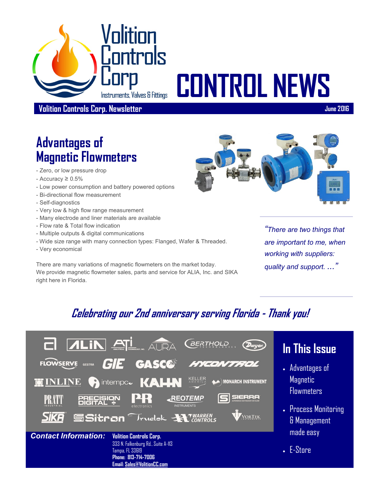

# **CONTROL NEWS**

**Volition Controls Corp. Newsletter June 2016**

# **Advantages of Magnetic Flowmeters**

- Zero, or low pressure drop
- $-$  Accuracy  $\geq 0.5\%$
- Low power consumption and battery powered options
- Bi-directional flow measurement
- Self-diagnostics
- Very low & high flow range measurement
- Many electrode and liner materials are available
- Flow rate & Total flow indication
- Multiple outputs & digital communications
- Wide size range with many connection types: Flanged, Wafer & Threaded.
- Very economical

There are many variations of magnetic flowmeters on the market today. We provide magnetic flowmeter sales, parts and service for ALIA, Inc. and SIKA right here in Florida.



*"There are two things that are important to me, when working with suppliers: quality and support. ..."*

### **Celebrating our 2nd anniversary serving Florida - Thank you!**



**Phone: 813-714-7006 Email: [Sales@VolitionCC.com](mailto:sales@volitioncc.com)**

#### **In This Issue**

- Advantages of **Magnetic Flowmeters**
- Process Monitoring & Management made easy

 $\blacksquare$  E-Store